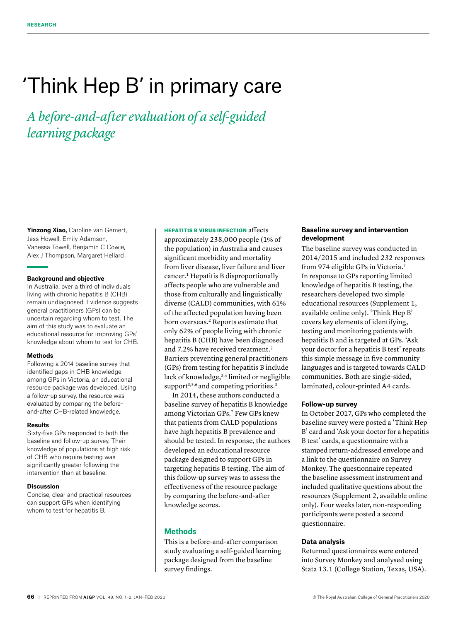# 'Think Hep B' in primary care

*A before-and-after evaluation of a self-guided learning package*

**Yinzong Xiao,** Caroline van Gemert, Jess Howell, Emily Adamson, Vanessa Towell, Benjamin C Cowie, Alex J Thompson, Margaret Hellard

#### **Background and objective**

In Australia, over a third of individuals living with chronic hepatitis B (CHB) remain undiagnosed. Evidence suggests general practitioners (GPs) can be uncertain regarding whom to test. The aim of this study was to evaluate an educational resource for improving GPs' knowledge about whom to test for CHB.

#### **Methods**

Following a 2014 baseline survey that identified gaps in CHB knowledge among GPs in Victoria, an educational resource package was developed. Using a follow-up survey, the resource was evaluated by comparing the beforeand-after CHB-related knowledge.

#### **Results**

Sixty-five GPs responded to both the baseline and follow-up survey. Their knowledge of populations at high risk of CHB who require testing was significantly greater following the intervention than at baseline.

#### **Discussion**

Concise, clear and practical resources can support GPs when identifying whom to test for hepatitis B.

# HEPATITIS B VIRUS INFECTION affects

approximately 238,000 people (1% of the population) in Australia and causes significant morbidity and mortality from liver disease, liver failure and liver cancer.1 Hepatitis B disproportionally affects people who are vulnerable and those from culturally and linguistically diverse (CALD) communities, with 61% of the affected population having been born overseas.2 Reports estimate that only 62% of people living with chronic hepatitis B (CHB) have been diagnosed and 7.2% have received treatment.<sup>2</sup> Barriers preventing general practitioners (GPs) from testing for hepatitis B include lack of knowledge,<sup>3,4</sup> limited or negligible support<sup>3,5,6</sup> and competing priorities.<sup>3</sup>

In 2014, these authors conducted a baseline survey of hepatitis B knowledge among Victorian GPs.7 Few GPs knew that patients from CALD populations have high hepatitis B prevalence and should be tested. In response, the authors developed an educational resource package designed to support GPs in targeting hepatitis B testing. The aim of this follow-up survey was to assess the effectiveness of the resource package by comparing the before-and-after knowledge scores.

# **Methods**

This is a before-and-after comparison study evaluating a self-guided learning package designed from the baseline survey findings.

# **Baseline survey and intervention development**

The baseline survey was conducted in 2014/2015 and included 232 responses from 974 eligible GPs in Victoria.7 In response to GPs reporting limited knowledge of hepatitis B testing, the researchers developed two simple educational resources (Supplement 1, available online only). 'Think Hep B' covers key elements of identifying, testing and monitoring patients with hepatitis B and is targeted at GPs. 'Ask your doctor for a hepatitis B test' repeats this simple message in five community languages and is targeted towards CALD communities. Both are single-sided, laminated, colour-printed A4 cards.

# **Follow-up survey**

In October 2017, GPs who completed the baseline survey were posted a 'Think Hep B' card and 'Ask your doctor for a hepatitis B test' cards, a questionnaire with a stamped return-addressed envelope and a link to the questionnaire on Survey Monkey. The questionnaire repeated the baseline assessment instrument and included qualitative questions about the resources (Supplement 2, available online only). Four weeks later, non-responding participants were posted a second questionnaire.

#### **Data analysis**

Returned questionnaires were entered into Survey Monkey and analysed using Stata 13.1 (College Station, Texas, USA).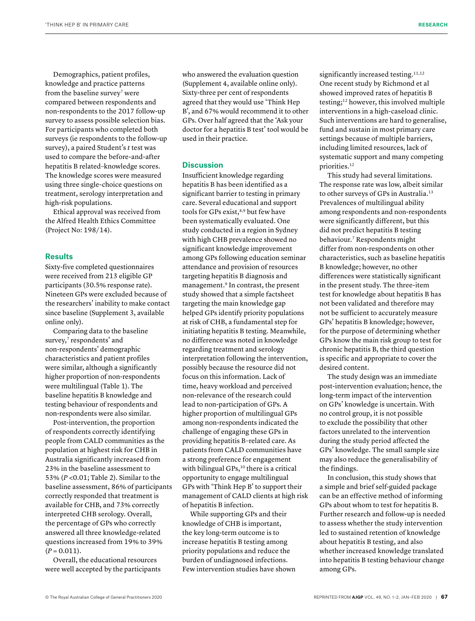Demographics, patient profiles, knowledge and practice patterns from the baseline survey<sup>7</sup> were compared between respondents and non-respondents to the 2017 follow-up survey to assess possible selection bias. For participants who completed both surveys (ie respondents to the follow-up survey), a paired Student's *t* test was used to compare the before-and-after hepatitis B related–knowledge scores. The knowledge scores were measured using three single-choice questions on treatment, serology interpretation and high-risk populations.

Ethical approval was received from the Alfred Health Ethics Committee (Project No: 198/14).

### **Results**

Sixty-five completed questionnaires were received from 213 eligible GP participants (30.5% response rate). Nineteen GPs were excluded because of the researchers' inability to make contact since baseline (Supplement 3, available online only).

Comparing data to the baseline survey,<sup>7</sup> respondents' and non-respondents' demographic characteristics and patient profiles were similar, although a significantly higher proportion of non-respondents were multilingual (Table 1). The baseline hepatitis B knowledge and testing behaviour of respondents and non-respondents were also similar.

Post-intervention, the proportion of respondents correctly identifying people from CALD communities as the population at highest risk for CHB in Australia significantly increased from 23% in the baseline assessment to 53% (*P* <0.01; Table 2). Similar to the baseline assessment, 86% of participants correctly responded that treatment is available for CHB, and 73% correctly interpreted CHB serology. Overall, the percentage of GPs who correctly answered all three knowledge-related questions increased from 19% to 39%  $(P = 0.011)$ .

Overall, the educational resources were well accepted by the participants who answered the evaluation question (Supplement 4, available online only). Sixty-three per cent of respondents agreed that they would use 'Think Hep B', and 67% would recommend it to other GPs. Over half agreed that the 'Ask your doctor for a hepatitis B test' tool would be used in their practice.

#### **Discussion**

Insufficient knowledge regarding hepatitis B has been identified as a significant barrier to testing in primary care. Several educational and support tools for GPs exist,<sup>8,9</sup> but few have been systematically evaluated. One study conducted in a region in Sydney with high CHB prevalence showed no significant knowledge improvement among GPs following education seminar attendance and provision of resources targeting hepatitis B diagnosis and management.9 In contrast, the present study showed that a simple factsheet targeting the main knowledge gap helped GPs identify priority populations at risk of CHB, a fundamental step for initiating hepatitis B testing. Meanwhile, no difference was noted in knowledge regarding treatment and serology interpretation following the intervention, possibly because the resource did not focus on this information. Lack of time, heavy workload and perceived non-relevance of the research could lead to non-participation of GPs. A higher proportion of multilingual GPs among non-respondents indicated the challenge of engaging these GPs in providing hepatitis B–related care. As patients from CALD communities have a strong preference for engagement with bilingual GPs,<sup>10</sup> there is a critical opportunity to engage multilingual GPs with 'Think Hep B' to support their management of CALD clients at high risk of hepatitis B infection.

While supporting GPs and their knowledge of CHB is important, the key long-term outcome is to increase hepatitis B testing among priority populations and reduce the burden of undiagnosed infections. Few intervention studies have shown significantly increased testing.<sup>11,12</sup> One recent study by Richmond et al showed improved rates of hepatitis B testing;12 however, this involved multiple interventions in a high-caseload clinic. Such interventions are hard to generalise, fund and sustain in most primary care settings because of multiple barriers, including limited resources, lack of systematic support and many competing priorities.<sup>12</sup>

This study had several limitations. The response rate was low, albeit similar to other surveys of GPs in Australia.<sup>13</sup> Prevalences of multilingual ability among respondents and non-respondents were significantly different, but this did not predict hepatitis B testing behaviour.7 Respondents might differ from non-respondents on other characteristics, such as baseline hepatitis B knowledge; however, no other differences were statistically significant in the present study. The three-item test for knowledge about hepatitis B has not been validated and therefore may not be sufficient to accurately measure GPs' hepatitis B knowledge; however, for the purpose of determining whether GPs know the main risk group to test for chronic hepatitis B, the third question is specific and appropriate to cover the desired content.

The study design was an immediate post-intervention evaluation; hence, the long-term impact of the intervention on GPs' knowledge is uncertain. With no control group, it is not possible to exclude the possibility that other factors unrelated to the intervention during the study period affected the GPs' knowledge. The small sample size may also reduce the generalisability of the findings.

In conclusion, this study shows that a simple and brief self-guided package can be an effective method of informing GPs about whom to test for hepatitis B. Further research and follow-up is needed to assess whether the study intervention led to sustained retention of knowledge about hepatitis B testing, and also whether increased knowledge translated into hepatitis B testing behaviour change among GPs.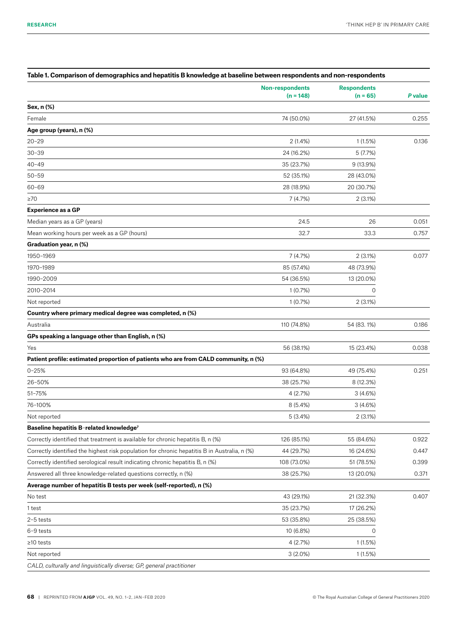|                                                                                              | <b>Non-respondents</b><br>$(n = 148)$ | <b>Respondents</b><br>$(n = 65)$ | P value |
|----------------------------------------------------------------------------------------------|---------------------------------------|----------------------------------|---------|
| Sex, n (%)                                                                                   |                                       |                                  |         |
| Female                                                                                       | 74 (50.0%)                            | 27 (41.5%)                       | 0.255   |
| Age group (years), n (%)                                                                     |                                       |                                  |         |
| $20 - 29$                                                                                    | 2(1.4%)                               | 1(1.5%)                          | 0.136   |
| $30 - 39$                                                                                    | 24 (16.2%)                            | 5(7.7%)                          |         |
| $40 - 49$                                                                                    | 35 (23.7%)                            | 9 (13.9%)                        |         |
| $50 - 59$                                                                                    | 52 (35.1%)                            | 28 (43.0%)                       |         |
| $60 - 69$                                                                                    | 28 (18.9%)                            | 20 (30.7%)                       |         |
| $\geq 70$                                                                                    | 7(4.7%)                               | 2(3.1%)                          |         |
| <b>Experience as a GP</b>                                                                    |                                       |                                  |         |
| Median years as a GP (years)                                                                 | 24.5                                  | 26                               | 0.051   |
| Mean working hours per week as a GP (hours)                                                  | 32.7                                  | 33.3                             | 0.757   |
| Graduation year, n (%)                                                                       |                                       |                                  |         |
| 1950-1969                                                                                    | 7(4.7%)                               | 2(3.1%)                          | 0.077   |
| 1970-1989                                                                                    | 85 (57.4%)                            | 48 (73.9%)                       |         |
| 1990-2009                                                                                    | 54 (36.5%)                            | 13 (20.0%)                       |         |
| 2010-2014                                                                                    | 1(0.7%)                               | $\mathbf 0$                      |         |
| Not reported                                                                                 | 1(0.7%)                               | 2(3.1%)                          |         |
| Country where primary medical degree was completed, n (%)                                    |                                       |                                  |         |
| Australia                                                                                    | 110 (74.8%)                           | 54 (83.1%)                       | 0.186   |
| GPs speaking a language other than English, n (%)                                            |                                       |                                  |         |
| Yes                                                                                          | 56 (38.1%)                            | 15 (23.4%)                       | 0.038   |
| Patient profile: estimated proportion of patients who are from CALD community, n (%)         |                                       |                                  |         |
| $0 - 25%$                                                                                    | 93 (64.8%)                            | 49 (75.4%)                       | 0.251   |
| 26-50%                                                                                       | 38 (25.7%)                            | 8 (12.3%)                        |         |
| 51-75%                                                                                       | 4(2.7%)                               | 3(4.6%)                          |         |
| 76-100%                                                                                      | 8(5.4%)                               | 3(4.6%)                          |         |
| Not reported                                                                                 | 5(3.4%)                               | 2(3.1%)                          |         |
| Baseline hepatitis B-related knowledge <sup>7</sup>                                          |                                       |                                  |         |
| Correctly identified that treatment is available for chronic hepatitis B, n (%)              | 126 (85.1%)                           | 55 (84.6%)                       | 0.922   |
| Correctly identified the highest risk population for chronic hepatitis B in Australia, n (%) | 44 (29.7%)                            | 16 (24.6%)                       | 0.447   |
| Correctly identified serological result indicating chronic hepatitis B, n (%)                | 108 (73.0%)                           | 51 (78.5%)                       | 0.399   |
| Answered all three knowledge-related questions correctly, n (%)                              | 38 (25.7%)                            | 13 (20.0%)                       | 0.371   |
| Average number of hepatitis B tests per week (self-reported), n (%)                          |                                       |                                  |         |
| No test                                                                                      | 43 (29.1%)                            | 21 (32.3%)                       | 0.407   |
| 1 test                                                                                       | 35 (23.7%)                            | 17 (26.2%)                       |         |
| $2-5$ tests                                                                                  | 53 (35.8%)                            | 25 (38.5%)                       |         |
| 6-9 tests                                                                                    | 10 (6.8%)                             | 0                                |         |
| $\geq$ 10 tests                                                                              | 4(2.7%)                               | 1(1.5%)                          |         |
| Not reported                                                                                 | $3(2.0\%)$                            | 1(1.5%)                          |         |
| CALD, culturally and linguistically diverse; GP, general practitioner                        |                                       |                                  |         |

# **Table 1. Comparison of demographics and hepatitis B knowledge at baseline between respondents and non-respondents**